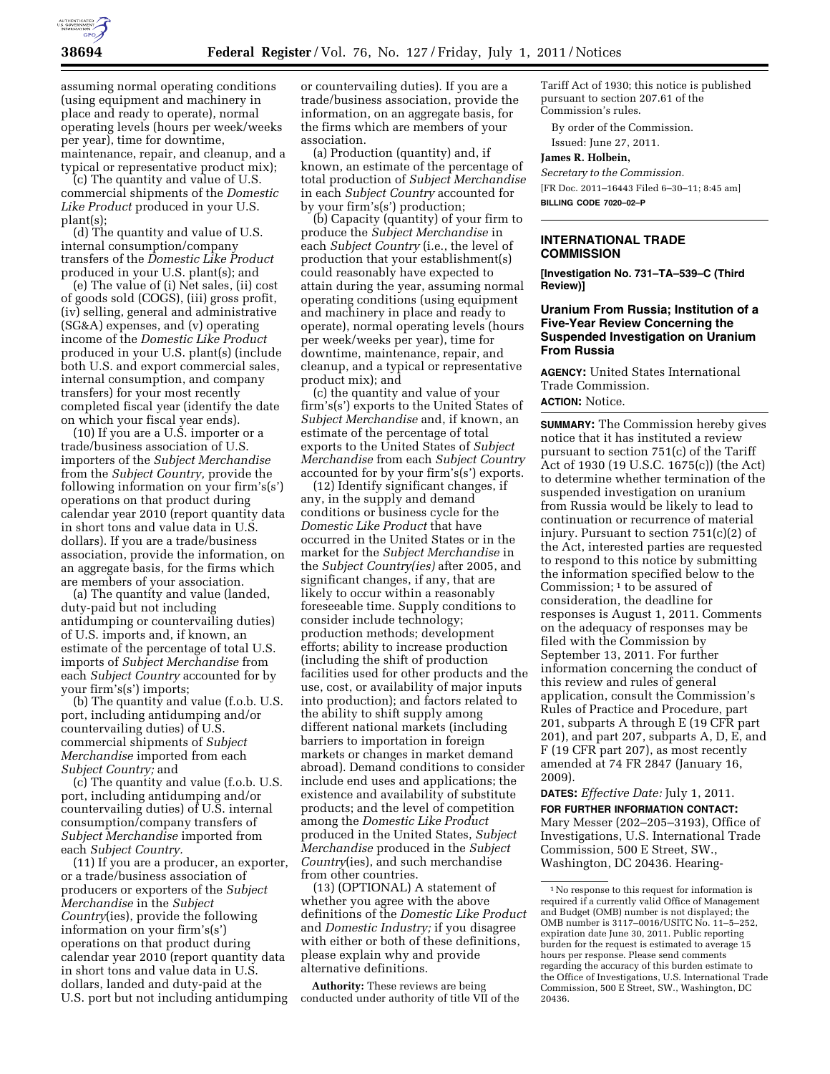

assuming normal operating conditions (using equipment and machinery in place and ready to operate), normal operating levels (hours per week/weeks per year), time for downtime, maintenance, repair, and cleanup, and a typical or representative product mix);

(c) The quantity and value of U.S. commercial shipments of the *Domestic Like Product* produced in your U.S. plant(s);

(d) The quantity and value of U.S. internal consumption/company transfers of the *Domestic Like Product*  produced in your U.S. plant(s); and

(e) The value of (i) Net sales, (ii) cost of goods sold (COGS), (iii) gross profit, (iv) selling, general and administrative (SG&A) expenses, and (v) operating income of the *Domestic Like Product*  produced in your U.S. plant(s) (include both U.S. and export commercial sales, internal consumption, and company transfers) for your most recently completed fiscal year (identify the date on which your fiscal year ends).

(10) If you are a U.S. importer or a trade/business association of U.S. importers of the *Subject Merchandise*  from the *Subject Country,* provide the following information on your firm's(s') operations on that product during calendar year 2010 (report quantity data in short tons and value data in U.S. dollars). If you are a trade/business association, provide the information, on an aggregate basis, for the firms which are members of your association.

(a) The quantity and value (landed, duty-paid but not including antidumping or countervailing duties) of U.S. imports and, if known, an estimate of the percentage of total U.S. imports of *Subject Merchandise* from each *Subject Country* accounted for by your firm's(s') imports;

(b) The quantity and value (f.o.b. U.S. port, including antidumping and/or countervailing duties) of U.S. commercial shipments of *Subject Merchandise* imported from each *Subject Country;* and

(c) The quantity and value (f.o.b. U.S. port, including antidumping and/or countervailing duties) of U.S. internal consumption/company transfers of *Subject Merchandise* imported from each *Subject Country.* 

(11) If you are a producer, an exporter, or a trade/business association of producers or exporters of the *Subject Merchandise* in the *Subject Country*(ies), provide the following information on your firm's(s') operations on that product during calendar year 2010 (report quantity data in short tons and value data in U.S. dollars, landed and duty-paid at the U.S. port but not including antidumping

or countervailing duties). If you are a trade/business association, provide the information, on an aggregate basis, for the firms which are members of your association.

(a) Production (quantity) and, if known, an estimate of the percentage of total production of *Subject Merchandise*  in each *Subject Country* accounted for by your firm's(s') production;

(b) Capacity (quantity) of your firm to produce the *Subject Merchandise* in each *Subject Country* (i.e., the level of production that your establishment(s) could reasonably have expected to attain during the year, assuming normal operating conditions (using equipment and machinery in place and ready to operate), normal operating levels (hours per week/weeks per year), time for downtime, maintenance, repair, and cleanup, and a typical or representative product mix); and

(c) the quantity and value of your firm's(s') exports to the United States of *Subject Merchandise* and, if known, an estimate of the percentage of total exports to the United States of *Subject Merchandise* from each *Subject Country*  accounted for by your firm's(s') exports.

(12) Identify significant changes, if any, in the supply and demand conditions or business cycle for the *Domestic Like Product* that have occurred in the United States or in the market for the *Subject Merchandise* in the *Subject Country(ies)* after 2005, and significant changes, if any, that are likely to occur within a reasonably foreseeable time. Supply conditions to consider include technology; production methods; development efforts; ability to increase production (including the shift of production facilities used for other products and the use, cost, or availability of major inputs into production); and factors related to the ability to shift supply among different national markets (including barriers to importation in foreign markets or changes in market demand abroad). Demand conditions to consider include end uses and applications; the existence and availability of substitute products; and the level of competition among the *Domestic Like Product*  produced in the United States, *Subject Merchandise* produced in the *Subject Country*(ies), and such merchandise from other countries.

(13) (OPTIONAL) A statement of whether you agree with the above definitions of the *Domestic Like Product*  and *Domestic Industry;* if you disagree with either or both of these definitions, please explain why and provide alternative definitions.

**Authority:** These reviews are being conducted under authority of title VII of the

Tariff Act of 1930; this notice is published pursuant to section 207.61 of the Commission's rules.

By order of the Commission. Issued: June 27, 2011.

#### **James R. Holbein,**

*Secretary to the Commission.* 

[FR Doc. 2011–16443 Filed 6–30–11; 8:45 am] **BILLING CODE 7020–02–P** 

# **INTERNATIONAL TRADE COMMISSION**

**[Investigation No. 731–TA–539–C (Third Review)]** 

# **Uranium From Russia; Institution of a Five-Year Review Concerning the Suspended Investigation on Uranium From Russia**

**AGENCY:** United States International Trade Commission. **ACTION:** Notice.

**SUMMARY:** The Commission hereby gives notice that it has instituted a review pursuant to section 751(c) of the Tariff Act of 1930 (19 U.S.C. 1675(c)) (the Act) to determine whether termination of the suspended investigation on uranium from Russia would be likely to lead to continuation or recurrence of material injury. Pursuant to section 751(c)(2) of the Act, interested parties are requested to respond to this notice by submitting the information specified below to the Commission; 1 to be assured of consideration, the deadline for responses is August 1, 2011. Comments on the adequacy of responses may be filed with the Commission by September 13, 2011. For further information concerning the conduct of this review and rules of general application, consult the Commission's Rules of Practice and Procedure, part 201, subparts A through E (19 CFR part 201), and part 207, subparts A, D, E, and F (19 CFR part 207), as most recently amended at 74 FR 2847 (January 16, 2009).

**DATES:** *Effective Date:* July 1, 2011.

**FOR FURTHER INFORMATION CONTACT:**  Mary Messer (202–205–3193), Office of Investigations, U.S. International Trade Commission, 500 E Street, SW., Washington, DC 20436. Hearing-

<sup>1</sup>No response to this request for information is required if a currently valid Office of Management and Budget (OMB) number is not displayed; the OMB number is 3117–0016/USITC No. 11–5–252, expiration date June 30, 2011. Public reporting burden for the request is estimated to average 15 hours per response. Please send comments regarding the accuracy of this burden estimate to the Office of Investigations, U.S. International Trade Commission, 500 E Street, SW., Washington, DC 20436.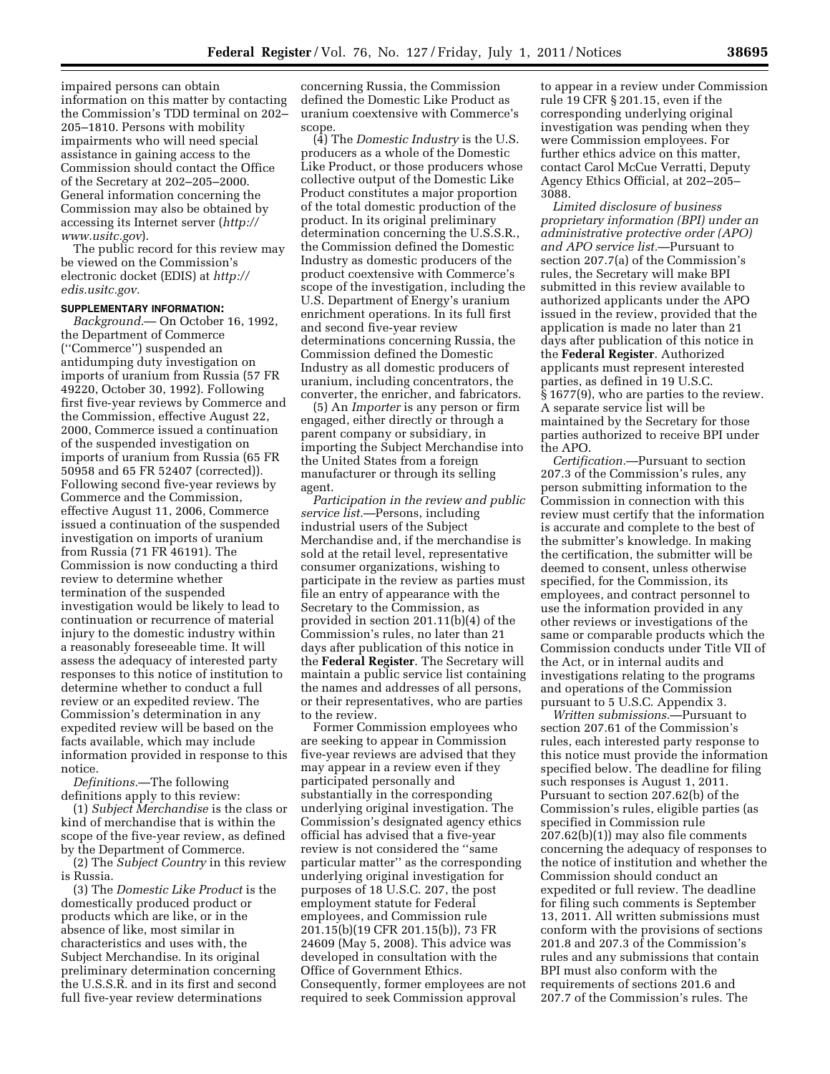impaired persons can obtain information on this matter by contacting the Commission's TDD terminal on 202– 205–1810. Persons with mobility impairments who will need special assistance in gaining access to the Commission should contact the Office of the Secretary at 202–205–2000. General information concerning the Commission may also be obtained by accessing its Internet server (*http:// www.usitc.gov*).

The public record for this review may be viewed on the Commission's electronic docket (EDIS) at *http:// edis.usitc.gov.* 

## **SUPPLEMENTARY INFORMATION:**

*Background.*— On October 16, 1992, the Department of Commerce (''Commerce'') suspended an antidumping duty investigation on imports of uranium from Russia (57 FR 49220, October 30, 1992). Following first five-year reviews by Commerce and the Commission, effective August 22, 2000, Commerce issued a continuation of the suspended investigation on imports of uranium from Russia (65 FR 50958 and 65 FR 52407 (corrected)). Following second five-year reviews by Commerce and the Commission, effective August 11, 2006, Commerce issued a continuation of the suspended investigation on imports of uranium from Russia (71 FR 46191). The Commission is now conducting a third review to determine whether termination of the suspended investigation would be likely to lead to continuation or recurrence of material injury to the domestic industry within a reasonably foreseeable time. It will assess the adequacy of interested party responses to this notice of institution to determine whether to conduct a full review or an expedited review. The Commission's determination in any expedited review will be based on the facts available, which may include information provided in response to this notice.

*Definitions.*—The following definitions apply to this review:

(1) *Subject Merchandise* is the class or kind of merchandise that is within the scope of the five-year review, as defined by the Department of Commerce.

(2) The *Subject Country* in this review is Russia.

(3) The *Domestic Like Product* is the domestically produced product or products which are like, or in the absence of like, most similar in characteristics and uses with, the Subject Merchandise. In its original preliminary determination concerning the U.S.S.R. and in its first and second full five-year review determinations

concerning Russia, the Commission defined the Domestic Like Product as uranium coextensive with Commerce's scope.

(4) The *Domestic Industry* is the U.S. producers as a whole of the Domestic Like Product, or those producers whose collective output of the Domestic Like Product constitutes a major proportion of the total domestic production of the product. In its original preliminary determination concerning the U.S.S.R., the Commission defined the Domestic Industry as domestic producers of the product coextensive with Commerce's scope of the investigation, including the U.S. Department of Energy's uranium enrichment operations. In its full first and second five-year review determinations concerning Russia, the Commission defined the Domestic Industry as all domestic producers of uranium, including concentrators, the converter, the enricher, and fabricators.

(5) An *Importer* is any person or firm engaged, either directly or through a parent company or subsidiary, in importing the Subject Merchandise into the United States from a foreign manufacturer or through its selling agent.

*Participation in the review and public service list.*—Persons, including industrial users of the Subject Merchandise and, if the merchandise is sold at the retail level, representative consumer organizations, wishing to participate in the review as parties must file an entry of appearance with the Secretary to the Commission, as provided in section 201.11(b)(4) of the Commission's rules, no later than 21 days after publication of this notice in the **Federal Register**. The Secretary will maintain a public service list containing the names and addresses of all persons, or their representatives, who are parties to the review.

Former Commission employees who are seeking to appear in Commission five-year reviews are advised that they may appear in a review even if they participated personally and substantially in the corresponding underlying original investigation. The Commission's designated agency ethics official has advised that a five-year review is not considered the ''same particular matter'' as the corresponding underlying original investigation for purposes of 18 U.S.C. 207, the post employment statute for Federal employees, and Commission rule 201.15(b)(19 CFR 201.15(b)), 73 FR 24609 (May 5, 2008). This advice was developed in consultation with the Office of Government Ethics. Consequently, former employees are not required to seek Commission approval

to appear in a review under Commission rule 19 CFR § 201.15, even if the corresponding underlying original investigation was pending when they were Commission employees. For further ethics advice on this matter, contact Carol McCue Verratti, Deputy Agency Ethics Official, at 202–205– 3088.

*Limited disclosure of business proprietary information (BPI) under an administrative protective order (APO) and APO service list.*—Pursuant to section 207.7(a) of the Commission's rules, the Secretary will make BPI submitted in this review available to authorized applicants under the APO issued in the review, provided that the application is made no later than 21 days after publication of this notice in the **Federal Register**. Authorized applicants must represent interested parties, as defined in 19 U.S.C. § 1677(9), who are parties to the review. A separate service list will be maintained by the Secretary for those parties authorized to receive BPI under the APO.

*Certification.*—Pursuant to section 207.3 of the Commission's rules, any person submitting information to the Commission in connection with this review must certify that the information is accurate and complete to the best of the submitter's knowledge. In making the certification, the submitter will be deemed to consent, unless otherwise specified, for the Commission, its employees, and contract personnel to use the information provided in any other reviews or investigations of the same or comparable products which the Commission conducts under Title VII of the Act, or in internal audits and investigations relating to the programs and operations of the Commission pursuant to 5 U.S.C. Appendix 3.

*Written submissions.*—Pursuant to section 207.61 of the Commission's rules, each interested party response to this notice must provide the information specified below. The deadline for filing such responses is August 1, 2011. Pursuant to section 207.62(b) of the Commission's rules, eligible parties (as specified in Commission rule 207.62(b)(1)) may also file comments concerning the adequacy of responses to the notice of institution and whether the Commission should conduct an expedited or full review. The deadline for filing such comments is September 13, 2011. All written submissions must conform with the provisions of sections 201.8 and 207.3 of the Commission's rules and any submissions that contain BPI must also conform with the requirements of sections 201.6 and 207.7 of the Commission's rules. The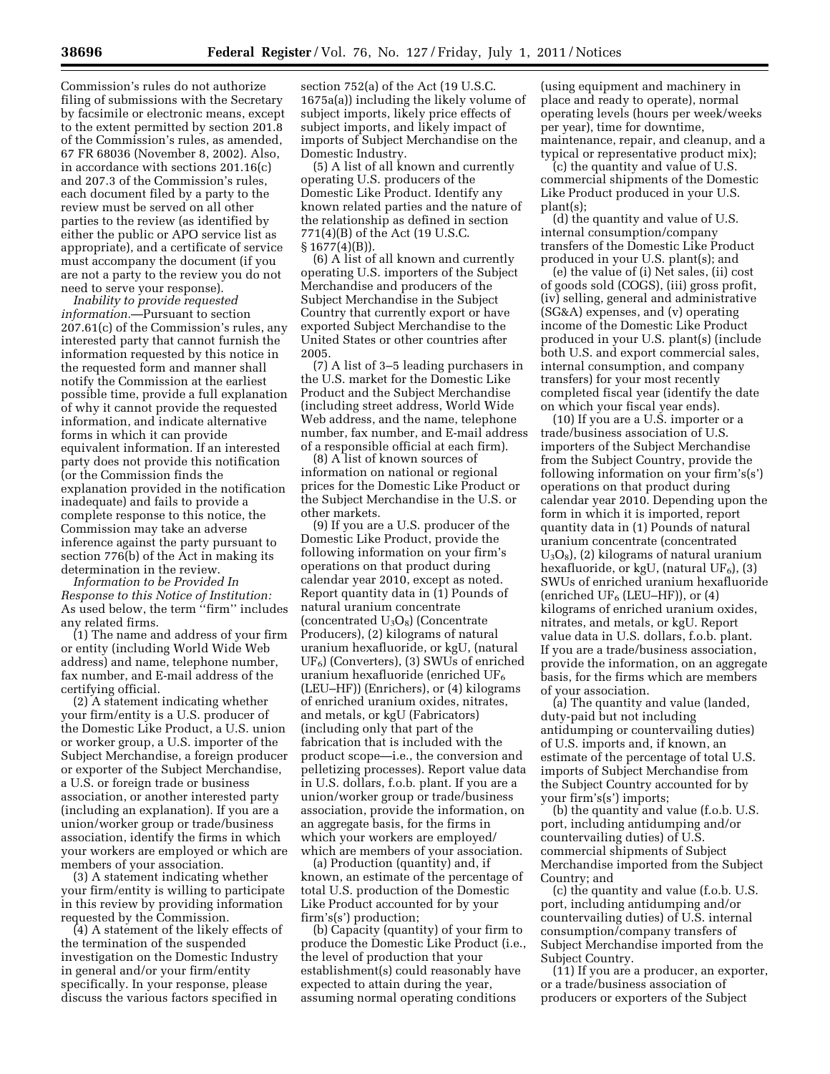Commission's rules do not authorize filing of submissions with the Secretary by facsimile or electronic means, except to the extent permitted by section 201.8 of the Commission's rules, as amended, 67 FR 68036 (November 8, 2002). Also, in accordance with sections 201.16(c) and 207.3 of the Commission's rules, each document filed by a party to the review must be served on all other parties to the review (as identified by either the public or APO service list as appropriate), and a certificate of service must accompany the document (if you are not a party to the review you do not need to serve your response).

*Inability to provide requested information.*—Pursuant to section 207.61(c) of the Commission's rules, any interested party that cannot furnish the information requested by this notice in the requested form and manner shall notify the Commission at the earliest possible time, provide a full explanation of why it cannot provide the requested information, and indicate alternative forms in which it can provide equivalent information. If an interested party does not provide this notification (or the Commission finds the explanation provided in the notification inadequate) and fails to provide a complete response to this notice, the Commission may take an adverse inference against the party pursuant to section 776(b) of the Act in making its determination in the review.

*Information to be Provided In Response to this Notice of Institution:*  As used below, the term ''firm'' includes any related firms.

(1) The name and address of your firm or entity (including World Wide Web address) and name, telephone number, fax number, and E-mail address of the certifying official.

(2) A statement indicating whether your firm/entity is a U.S. producer of the Domestic Like Product, a U.S. union or worker group, a U.S. importer of the Subject Merchandise, a foreign producer or exporter of the Subject Merchandise, a U.S. or foreign trade or business association, or another interested party (including an explanation). If you are a union/worker group or trade/business association, identify the firms in which your workers are employed or which are members of your association.

(3) A statement indicating whether your firm/entity is willing to participate in this review by providing information requested by the Commission.

(4) A statement of the likely effects of the termination of the suspended investigation on the Domestic Industry in general and/or your firm/entity specifically. In your response, please discuss the various factors specified in

section 752(a) of the Act (19 U.S.C. 1675a(a)) including the likely volume of subject imports, likely price effects of subject imports, and likely impact of imports of Subject Merchandise on the Domestic Industry.

(5) A list of all known and currently operating U.S. producers of the Domestic Like Product. Identify any known related parties and the nature of the relationship as defined in section 771(4)(B) of the Act (19 U.S.C. § 1677(4)(B)).

(6) A list of all known and currently operating U.S. importers of the Subject Merchandise and producers of the Subject Merchandise in the Subject Country that currently export or have exported Subject Merchandise to the United States or other countries after 2005.

(7) A list of 3–5 leading purchasers in the U.S. market for the Domestic Like Product and the Subject Merchandise (including street address, World Wide Web address, and the name, telephone number, fax number, and E-mail address of a responsible official at each firm).

(8) A list of known sources of information on national or regional prices for the Domestic Like Product or the Subject Merchandise in the U.S. or other markets.

(9) If you are a U.S. producer of the Domestic Like Product, provide the following information on your firm's operations on that product during calendar year 2010, except as noted. Report quantity data in (1) Pounds of natural uranium concentrate (concentrated  $U_3O_8$ ) (Concentrate Producers), (2) kilograms of natural uranium hexafluoride, or kgU, (natural UF6) (Converters), (3) SWUs of enriched uranium hexafluoride (enriched UF $_6$ (LEU–HF)) (Enrichers), or (4) kilograms of enriched uranium oxides, nitrates, and metals, or kgU (Fabricators) (including only that part of the fabrication that is included with the product scope—i.e., the conversion and pelletizing processes). Report value data in U.S. dollars, f.o.b. plant. If you are a union/worker group or trade/business association, provide the information, on an aggregate basis, for the firms in which your workers are employed/ which are members of your association.

(a) Production (quantity) and, if known, an estimate of the percentage of total U.S. production of the Domestic Like Product accounted for by your firm's(s') production;

(b) Capacity (quantity) of your firm to produce the Domestic Like Product (i.e., the level of production that your establishment(s) could reasonably have expected to attain during the year, assuming normal operating conditions

(using equipment and machinery in place and ready to operate), normal operating levels (hours per week/weeks per year), time for downtime, maintenance, repair, and cleanup, and a typical or representative product mix);

(c) the quantity and value of U.S. commercial shipments of the Domestic Like Product produced in your U.S. plant(s);

(d) the quantity and value of U.S. internal consumption/company transfers of the Domestic Like Product produced in your U.S. plant(s); and

(e) the value of (i) Net sales, (ii) cost of goods sold (COGS), (iii) gross profit, (iv) selling, general and administrative (SG&A) expenses, and (v) operating income of the Domestic Like Product produced in your U.S. plant(s) (include both U.S. and export commercial sales, internal consumption, and company transfers) for your most recently completed fiscal year (identify the date on which your fiscal year ends).

(10) If you are a U.S. importer or a trade/business association of U.S. importers of the Subject Merchandise from the Subject Country, provide the following information on your firm's(s') operations on that product during calendar year 2010. Depending upon the form in which it is imported, report quantity data in (1) Pounds of natural uranium concentrate (concentrated  $U_3O_8$ , (2) kilograms of natural uranium hexafluoride, or kgU, (natural UF $_6$ ), (3) SWUs of enriched uranium hexafluoride (enriched  $UF_6$  (LEU–HF)), or (4) kilograms of enriched uranium oxides, nitrates, and metals, or kgU. Report value data in U.S. dollars, f.o.b. plant. If you are a trade/business association, provide the information, on an aggregate basis, for the firms which are members of your association.

(a) The quantity and value (landed, duty-paid but not including antidumping or countervailing duties) of U.S. imports and, if known, an estimate of the percentage of total U.S. imports of Subject Merchandise from the Subject Country accounted for by your firm's(s') imports;

(b) the quantity and value (f.o.b. U.S. port, including antidumping and/or countervailing duties) of U.S. commercial shipments of Subject Merchandise imported from the Subject Country; and

(c) the quantity and value (f.o.b. U.S. port, including antidumping and/or countervailing duties) of U.S. internal consumption/company transfers of Subject Merchandise imported from the Subject Country.

(11) If you are a producer, an exporter, or a trade/business association of producers or exporters of the Subject